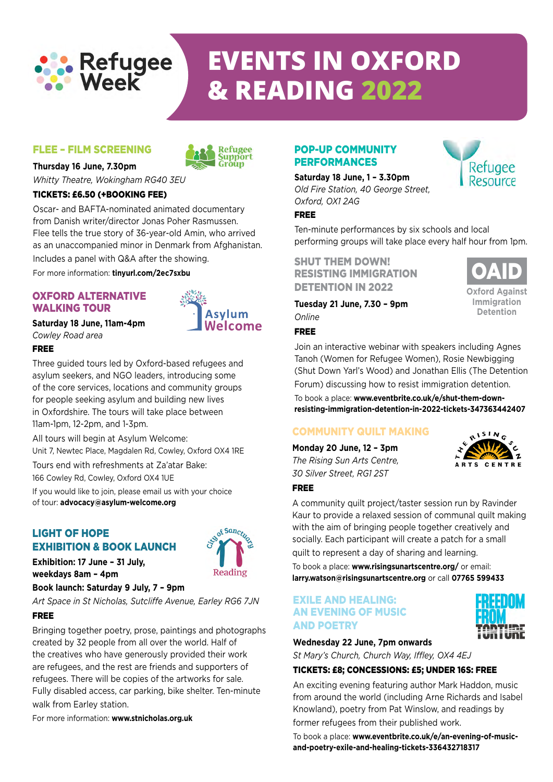

# **events IN OXFORD & READING 2022**

#### Flee – film screening



#### **Thursday 16 June, 7.30pm**

*Whitty Theatre, Wokingham RG40 3EU*

#### TICKETS: £6.50 (+booking fee)

Oscar- and BAFTA-nominated animated documentary from Danish writer/director Jonas Poher Rasmussen. Flee tells the true story of 36-year-old Amin, who arrived as an unaccompanied minor in Denmark from Afghanistan. Includes a panel with Q&A after the showing.

For more information: **tinyurl.com/2ec7sxbu**

#### Oxford Alternative Walking Tour

#### **Saturday 18 June, 11am-4pm** *Cowley Road area*



Three guided tours led by Oxford-based refugees and asylum seekers, and NGO leaders, introducing some of the core services, locations and community groups for people seeking asylum and building new lives in Oxfordshire. The tours will take place between 11am-1pm, 12-2pm, and 1-3pm.

All tours will begin at Asylum Welcome:

Unit 7, Newtec Place, Magdalen Rd, Cowley, Oxford OX4 1RE

Tours end with refreshments at Za'atar Bake: 166 Cowley Rd, Cowley, Oxford OX4 1UE

If you would like to join, please email us with your choice of tour: **advocacy@asylum-welcome.org**

#### Light of Hope EXHIBITION & Book Launch



**Exhibition: 17 June – 31 July, weekdays 8am – 4pm**

#### **Book launch: Saturday 9 July, 7 – 9pm**

*Art Space in St Nicholas, Sutcliffe Avenue, Earley RG6 7JN* Free

Bringing together poetry, prose, paintings and photographs created by 32 people from all over the world. Half of the creatives who have generously provided their work are refugees, and the rest are friends and supporters of refugees. There will be copies of the artworks for sale. Fully disabled access, car parking, bike shelter. Ten-minute walk from Earley station.

For more information: **www.stnicholas.org.uk**

#### Pop-up Community **PERFORMANCES**

**Saturday 18 June, 1 – 3.30pm** *Old Fire Station, 40 George Street, Oxford, OX1 2AG*



Ten-minute performances by six schools and local performing groups will take place every half hour from 1pm.

SHUT THEM DOWN! Resisting Immigration DETENTION IN 2022

**Tuesday 21 June, 7.30 – 9pm** *Online*

#### Free



Refugee Resource

Join an interactive webinar with speakers including Agnes Tanoh (Women for Refugee Women), Rosie Newbigging (Shut Down Yarl's Wood) and Jonathan Ellis (The Detention Forum) discussing how to resist immigration detention.

To book a place: **www.eventbrite.co.uk/e/shut-them-downresisting-immigration-detention-in-2022-tickets-347363442407**

#### COMMUNITY QUILT MAKING

**Monday 20 June, 12 – 3pm** *The Rising Sun Arts Centre, 30 Silver Street, RG1 2ST*



#### Free

A community quilt project/taster session run by Ravinder Kaur to provide a relaxed session of communal quilt making with the aim of bringing people together creatively and socially. Each participant will create a patch for a small quilt to represent a day of sharing and learning.

To book a place: **www.risingsunartscentre.org/** or email: **larry.watson@risingsunartscentre.org** or call **07765 599433**

#### EXILE AND HEALING: AN EVENING OF MUSIC AND POETRY



**Wednesday 22 June, 7pm onwards**

*St Mary's Church, Church Way, Iffley, OX4 4EJ*

#### TicketS: £8; concessions: £5; unDer 16s: free

An exciting evening featuring author Mark Haddon, music from around the world (including Arne Richards and Isabel Knowland), poetry from Pat Winslow, and readings by former refugees from their published work.

To book a place: **www.eventbrite.co.uk/e/an-evening-of-musicand-poetry-exile-and-healing-tickets-336432718317**



**Oxford Against Immigration Detention**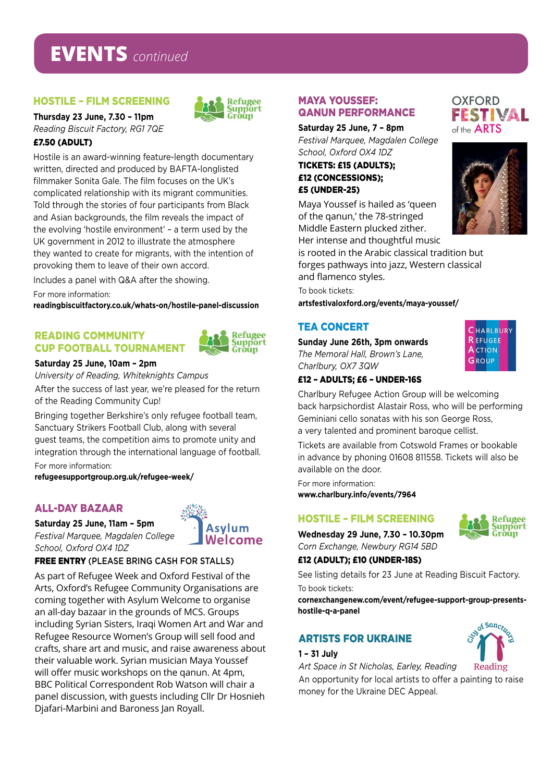## **EVENTS** *continued*

#### HOSTILE – FILM SCREENING

**Thursday 23 June, 7.30 – 11pm** *Reading Biscuit Factory, RG1 7QE*

#### £7.50 (ADULT)

Hostile is an award-winning feature-length documentary written, directed and produced by BAFTA-longlisted filmmaker Sonita Gale. The film focuses on the UK's complicated relationship with its migrant communities. Told through the stories of four participants from Black and Asian backgrounds, the film reveals the impact of the evolving 'hostile environment' – a term used by the UK government in 2012 to illustrate the atmosphere they wanted to create for migrants, with the intention of provoking them to leave of their own accord.

Includes a panel with Q&A after the showing.

For more information:

**readingbiscuitfactory.co.uk/whats-on/hostile-panel-discussion**

#### Reading Community Cup Football Tournament



Refugee Sunnort

Gròùn

#### **Saturday 25 June, 10am – 2pm**

*University of Reading, Whiteknights Campus*

After the success of last year, we're pleased for the return of the Reading Community Cup!

Bringing together Berkshire's only refugee football team, Sanctuary Strikers Football Club, along with several guest teams, the competition aims to promote unity and integration through the international language of football. For more information:

**refugeesupportgroup.org.uk/refugee-week/**

#### ALL-DAY BAZAAR

**Saturday 25 June, 11am – 5pm** *Festival Marquee, Magdalen College School, Oxford OX4 1DZ*



#### Free ENTRY (PLEASE BRING CASH FOR STALLS)

As part of Refugee Week and Oxford Festival of the Arts, Oxford's Refugee Community Organisations are coming together with Asylum Welcome to organise an all-day bazaar in the grounds of MCS. Groups including Syrian Sisters, Iraqi Women Art and War and Refugee Resource Women's Group will sell food and crafts, share art and music, and raise awareness about their valuable work. Syrian musician Maya Youssef will offer music workshops on the qanun. At 4pm, BBC Political Correspondent Rob Watson will chair a panel discussion, with guests including Cllr Dr Hosnieh Djafari-Marbini and Baroness Jan Royall.

#### MAYA YOUSSEF: QANUN PERFORMANCE

**Saturday 25 June, 7 – 8pm** *Festival Marquee, Magdalen College School, Oxford OX4 1DZ*

TICKETS: £15 (ADULTS); £12 (CONCESSIONS); £5 (UNDER-25)

Maya Youssef is hailed as 'queen of the qanun,' the 78-stringed Middle Eastern plucked zither. Her intense and thoughtful music

is rooted in the Arabic classical tradition but forges pathways into jazz, Western classical and flamenco styles.

To book tickets: **artsfestivaloxford.org/events/maya-youssef/**

#### TEA CONCERT

**Sunday June 26th, 3pm onwards** *The Memoral Hall, Brown's Lane, Charlbury, OX7 3QW*

#### £12 – ADULTS; £6 – UNDER-16s

Charlbury Refugee Action Group will be welcoming back harpsichordist Alastair Ross, who will be performing Geminiani cello sonatas with his son George Ross, a very talented and prominent baroque cellist.

Tickets are available from Cotswold Frames or bookable in advance by phoning 01608 811558. Tickets will also be available on the door.

For more information: **www.charlbury.info/events/7964**

#### HOSTILE – FILM SCREENING

**Wednesday 29 June, 7.30 – 10.30pm** *Corn Exchange, Newbury RG14 5BD*

#### £12 (ADULT); £10 (UNDER-18s)

See listing details for 23 June at Reading Biscuit Factory. To book tickets:

**cornexchangenew.com/event/refugee-support-group-presentshostile-q-a-panel**

#### ARTISTS FOR UKRAINE

#### **1 – 31 July**

*Art Space in St Nicholas, Earley, Reading*

An opportunity for local artists to offer a painting to raise money for the Ukraine DEC Appeal.



**Refugee Support** Gròùn



FESTIVAL

**OXFORD** 

of the **ARTS** 

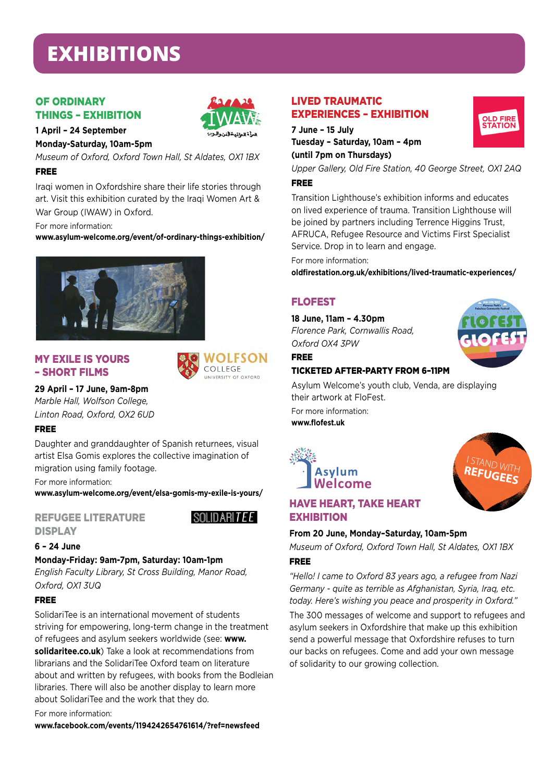# **EXHIBITIONS**

#### **OF ORDINARY** Things – Exhibition



**1 April – 24 September Monday-Saturday, 10am-5pm**

*Museum of Oxford, Oxford Town Hall, St Aldates, OX1 1BX*

#### Free

Iraqi women in Oxfordshire share their life stories through art. Visit this exhibition curated by the Iraqi Women Art & War Group (IWAW) in Oxford.

For more information: **www.asylum-welcome.org/event/of-ordinary-things-exhibition/**



#### My Exile is Yours – Short Films



#### **29 April – 17 June, 9am-8pm**

*Marble Hall, Wolfson College, Linton Road, Oxford, OX2 6UD*

#### Free

Daughter and granddaughter of Spanish returnees, visual artist Elsa Gomis explores the collective imagination of migration using family footage.

For more information:

**www.asylum-welcome.org/event/elsa-gomis-my-exile-is-yours/**

#### Refugee Literature **DISPLAY**



### **6 – 24 June**

#### **Monday-Friday: 9am-7pm, Saturday: 10am-1pm**

*English Faculty Library, St Cross Building, Manor Road, Oxford, OX1 3UQ*

#### **EDFF**

SolidariTee is an international movement of students striving for empowering, long-term change in the treatment of refugees and asylum seekers worldwide (see: **www. solidaritee.co.uk**) Take a look at recommendations from librarians and the SolidariTee Oxford team on literature about and written by refugees, with books from the Bodleian libraries. There will also be another display to learn more about SolidariTee and the work that they do.

For more information:

**www.facebook.com/events/1194242654761614/?ref=newsfeed**

#### LIVED TRAUMATIC EXPERIENCES – EXHIBITION

**7 June – 15 July Tuesday – Saturday, 10am – 4pm** 

**(until 7pm on Thursdays)**

*Upper Gallery, Old Fire Station, 40 George Street, OX1 2AQ* Free

Transition Lighthouse's exhibition informs and educates on lived experience of trauma. Transition Lighthouse will be joined by partners including Terrence Higgins Trust, AFRUCA, Refugee Resource and Victims First Specialist Service. Drop in to learn and engage.

#### For more information:

**oldfirestation.org.uk/exhibitions/lived-traumatic-experiences/**

#### FLOFEST

Free

**18 June, 11am – 4.30pm**

*Florence Park, Cornwallis Road, Oxford OX4 3PW*



#### ticketed after-party from 6–11pm

Asylum Welcome's youth club, Venda, are displaying their artwork at FloFest.

For more information: **www.flofest.uk**





#### HAVE HEART, TAKE HEART **EXHIBITION**

#### **From 20 June, Monday–Saturday, 10am-5pm**

*Museum of Oxford, Oxford Town Hall, St Aldates, OX1 1BX*

#### Free

*"Hello! I came to Oxford 83 years ago, a refugee from Nazi Germany - quite as terrible as Afghanistan, Syria, Iraq, etc. today. Here's wishing you peace and prosperity in Oxford."* 

The 300 messages of welcome and support to refugees and asylum seekers in Oxfordshire that make up this exhibition send a powerful message that Oxfordshire refuses to turn our backs on refugees. Come and add your own message of solidarity to our growing collection.